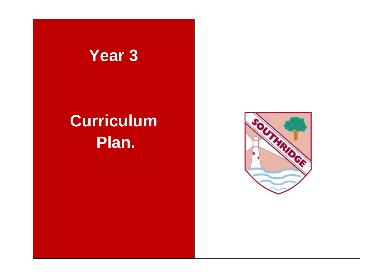## **Year 3**

# **Curriculum Plan.**

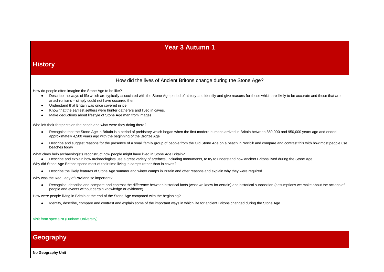### **Year 3 Autumn 1**

### **History**

### How did the lives of Ancient Britons change during the Stone Age?

How do people often imagine the Stone Age to be like?

- Describe the ways of life which are typically associated with the Stone Age period of history and identify and give reasons for those which are likely to be accurate and those that are anachronisms – simply could not have occurred then
- Understand that Britain was once covered in ice.
- Know that the earliest settlers were hunter gatherers and lived in caves.
- Make deductions about lifestyle of Stone Age man from images.

Who left their footprints on the beach and what were they doing there?

- Recognise that the Stone Age in Britain is a period of prehistory which began when the first modern humans arrived in Britain between 850,000 and 950,000 years ago and ended approximately 4,500 years ago with the beginning of the Bronze Age
- Describe and suggest reasons for the presence of a small family group of people from the Old Stone Age on a beach in Norfolk and compare and contrast this with how most people use beaches today

What clues help archaeologists reconstruct how people might have lived in Stone Age Britain?

- Describe and explain how archaeologists use a great variety of artefacts, including monuments, to try to understand how ancient Britons lived during the Stone Age Why did Stone Age Britons spend most of their time living in camps rather than in caves?
	- Describe the likely features of Stone Age summer and winter camps in Britain and offer reasons and explain why they were required

Why was the Red Lady of Paviland so important?

● Recognise, describe and compare and contrast the difference between historical facts (what we know for certain) and historical supposition (assumptions we make about the actions of people and events without certain knowledge or evidence)

How were people living in Britain at the end of the Stone Age compared with the beginning?

● Identify, describe, compare and contrast and explain some of the important ways in which life for ancient Britons changed during the Stone Age

Visit from specialist (Durham University)

### **Geography**

**No Geography Unit**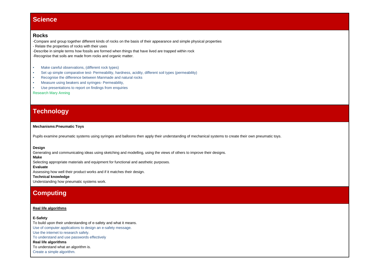### **Science**

### **Rocks**

-Compare and group together different kinds of rocks on the basis of their appearance and simple physical properties - Relate the properties of rocks with their uses -Describe in simple terms how fossils are formed when things that have lived are trapped within rock

-Recognise that soils are made from rocks and organic matter.

- Make careful observations, (different rock types)
- Set up simple comparative test- Permeability, hardness, acidity, different soil types (permeability)
- Recognise the difference between Manmade and natural rocks
- Measure using beakers and syringes- Permeability,
- Use presentations to report on findings from enquiries

Research Mary Anning

### **Technology**

#### **Mechanisms:Pneumatic Toys**

Pupils examine pneumatic systems using syringes and balloons then apply their understanding of mechanical systems to create their own pneumatic toys.

#### **Design**

Generating and communicating ideas using sketching and modelling, using the views of others to improve their designs.

### **Make**

Selecting appropriate materials and equipment for functional and aesthetic purposes.

#### **Evaluate**

Assessing how well their product works and if it matches their design.

#### **Technical knowledge**

Understanding how pneumatic systems work.

### **Computing**

#### **[Real life algorithms](https://docs.google.com/a/ntlp.org.uk/document/d/1ttuyTQm6dJqzo62y8vPsZ1N1sx7wElLnmtzmmpQp11Q/edit)**

#### **E-Safety**

To build upon their understanding of e-safety and what it means. Use of computer applications to design an e-safety message. Use the internet to research safely. To understand and use passwords effectively **[Real life algorithms](https://docs.google.com/a/ntlp.org.uk/document/d/1ttuyTQm6dJqzo62y8vPsZ1N1sx7wElLnmtzmmpQp11Q/edit)** To understand what an algorithm is. Create a simple algorithm.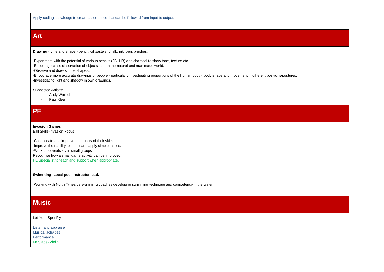Apply coding knowledge to create a sequence that can be followed from input to output.

### **Art**

**Drawing** - Line and shape - pencil, oil pastels, chalk, ink, pen, brushes.

-Experiment with the potential of various pencils (2B -HB) and charcoal to show tone, texture etc. -Encourage close observation of objects in both the natural and man made world. -Observe and draw simple shapes.. -Encourage more accurate drawings of people - particularly investigating proportions of the human body - body shape and movement in different positions/postures.

-Investigating light and shadow in own drawings.

Suggested Artisits:

- Andy Warhol
- Paul Klee

### **PE**

#### **Invasion Games**

Ball Skills-Invasion Focus

-Consolidate and improve the quality of their skills. -Improve their ability to select and apply simple tactics. -Work co-operatively in small groups Recognise how a small game activity can be improved. PE Specialist to teach and support when appropriate.

#### **Swimming- Local pool instructor lead.**

Working with North Tyneside swimming coaches developing swimming technique and competency in the water.

### **Music**

#### Let Your Sprit Fly

| Listen and appraise       |
|---------------------------|
| <b>Musical activities</b> |
| Performance               |
| Mr Slade- Violin          |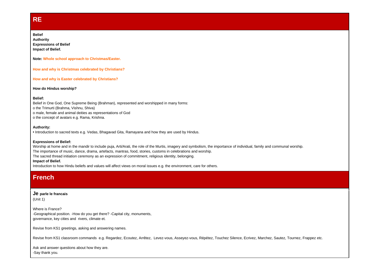### **RE**

#### **Belief**

**Authority Expressions of Belief Impact of Belief.**

**Note: Whole school approach to Christmas/Easter.**

**How and why is Christmas celebrated by Christians?**

**How and why is Easter celebrated by Christians?**

**How do Hindus worship?**

#### **Belief:**

Belief in One God, One Supreme Being (Brahman), represented and worshipped in many forms: o the Trimurti (Brahma, Vishnu, Shiva) o male, female and animal deities as representations of God o the concept of avatars e.g. Rama, Krishna.

#### **Authority:**

**•** Introduction to sacred texts e.g. Vedas, Bhagavad Gita, Ramayana and how they are used by Hindus.

#### **Expressions of Belief:**

Worship at home and in the mandir to include puja, Arti/Arati, the role of the Murtis, imagery and symbolism, the importance of individual, family and communal worship. The importance of music, dance, drama, artefacts, mantras, food, stories, customs in celebrations and worship. The sacred thread initiation ceremony as an expression of commitment, religious identity, belonging. **Impact of Belief.**

Introduction to how Hindu beliefs and values will affect views on moral issues e.g. the environment, care for others.

### **French**

#### **Je parle le francais**

(Unit 1)

Where is France? -Geographical position. -How do you get there? -Capital city, monuments, governance, key cities and rivers, climate et.

Revise from KS1 greetings, asking and answering names.

Revise from KS1 classroom commands e.g. Regardez, Ecoutez, Arrêtez, Levez-vous, Asseyez-vous, Répétez, Touchez Silence, Ecrivez, Marchez, Sautez, Tournez, Frappez etc.

Ask and answer questions about how they are. -Say thank you.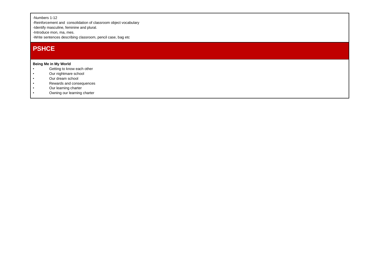-Numbers 1-12

-Reinforcement and consolidation of classroom object vocabulary

-Identify masculine, feminine and plural.

-Introduce mon, ma, mes.

-Write sentences describing classroom, pencil case, bag etc

### **PSHCE**

#### **Being Me in My World**

- Getting to know each other
- Our nightmare school
- Our dream school
- Rewards and consequences
- Our learning charter
- Owning our learning charter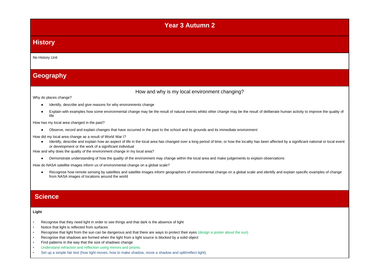### **Year 3 Autumn 2**

### **History**

#### No History Unit

### **Geography**

### How and why is my local environment changing?

Why do places change?

- Identify, describe and give reasons for why environments change
- Explain with examples how some environmental change may be the result of natural events whilst other change may be the result of deliberate human activity to improve the quality of life

How has my local area changed in the past?

● Observe, record and explain changes that have occurred in the past to the school and its grounds and its immediate environment

How did my local area change as a result of World War I?

● Identify, describe and explain how an aspect of life in the local area has changed over a long period of time, or how the locality has been affected by a significant national or local event or development or the work of a significant individual

How and why does the quality of the environment change in my local area?

● Demonstrate understanding of how the quality of the environment may change within the local area and make judgements to explain observations

How do NASA satellite images inform us of environmental change on a global scale?

● Recognise how remote sensing by satellites and satellite images inform geographers of environmental change on a global scale and identify and explain specific examples of change from NASA images of locations around the world

### **Science**

#### **Light**

- Recognise that they need light in order to see things and that dark is the absence of light
- Notice that light is reflected from surfaces
- Recognise that light from the sun can be dangerous and that there are ways to protect their eyes (design a poster about the sun)
- Recognise that shadows are formed when the light from a light source is blocked by a solid object
- Find patterns in the way that the size of shadows change
- Understand refraction and reflection using mirrors and prisms.
- Set up a simple fair test (how light moves, how to make shadow, move a shadow and split/reflect light).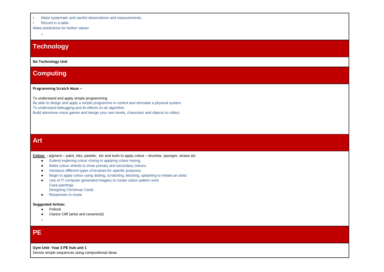- Make systematic and careful observations and measurements.
- Record in a table

-

Make predictions for further values

### **Technology**

**No Technology Unit**

### **Computing**

#### **[Programming Scratch Maze](https://docs.google.com/document/d/1G3rpwi0TnXYYNdte21olIjmXuMT8g51n7GA7XqAFUU8/edit#heading=h.t7em82cqf1hl) –**

To understand and apply simple programming

Be able to design and apply a simple programme to control and stimulate a physical system.

To understand debugging and its effects on an algorithm.

Build adventure maze games and design your own levels, characters and objects to collect.

### **Art**

**Colour -** pigment – paint, inks, pastels, etc and tools to apply colour – brushes, sponges, straws etc

- Extend exploring colour mixing to applying colour mixing.
- Make colour wheels to show primary and secondary colours.
- Introduce different types of brushes for specific purposes.
- Begin to apply colour using dotting, scratching, blocking, splashing to imitate an artist.
- Use of IT computer generated imagery to create colour pattern work Cave paintings
	- Designing Christmas Cards
- Responses to music

#### **Suggested Artists:**

- Pollock
- Clarice Cliff (artist and ceramicist)
- -

### **PE**

**Gym Unit- Year 3 PE hub unit 1** Devise simple sequences using compositional ideas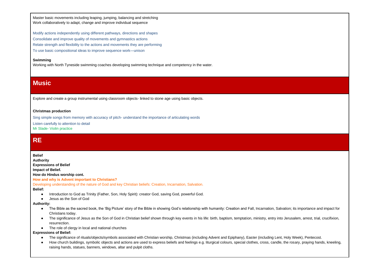Master basic movements including leaping, jumping, balancing and stretching Work collaboratively to adapt, change and improve individual sequence

Modify actions independently using different pathways, directions and shapes Consolidate and improve quality of movements and gymnastics actions Relate strength and flexibility to the actions and movements they are performing To use basic compositional ideas to improve sequence work—unison

#### **Swimming**

Working with North Tyneside swimming coaches developing swimming technique and competency in the water.

### **Music**

Explore and create a group instrumental using classroom objects- linked to stone age using basic objects.

#### **Christmas production**

Sing simple songs from memory with accuracy of pitch- understand the importance of articulating words

Listen carefully to attention to detail

Mr Slade- Violin practice

### **RE**

#### **Belief**

**Authority Expressions of Belief Impact of Belief. How do Hindus worship cont.**

#### **How and why is Advent important to Christians?**

Developing understanding of the nature of God and key Christian beliefs: Creation, Incarnation, Salvation.

#### **Belief:**

- Introduction to God as Trinity (Father, Son, Holy Spirit): creator God, saving God, powerful God.
- Jesus as the Son of God

#### **Authority:**

- The Bible as the sacred book, the 'Big Picture' story of the Bible in showing God's relationship with humanity: Creation and Fall, Incarnation, Salvation; its importance and impact for Christians today.
- The significance of Jesus as the Son of God in Christian belief shown through key events in his life: birth, baptism, temptation, ministry, entry into Jerusalem, arrest, trial, crucifixion, resurrection.
- The role of clergy in local and national churches

#### **Expressions of Belief:**

- The significance of rituals/objects/symbols associated with Christian worship, Christmas (including Advent and Epiphany), Easter (including Lent, Holy Week), Pentecost.
- How church buildings, symbolic objects and actions are used to express beliefs and feelings e.g. liturgical colours, special clothes, cross, candle, the rosary, praying hands, kneeling, raising hands, statues, banners, windows, altar and pulpit cloths.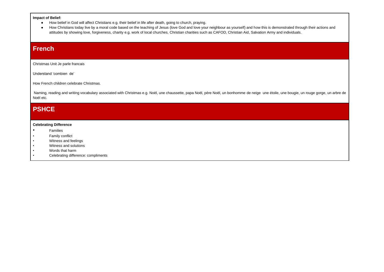#### **Impact of Belief:**

- How belief in God will affect Christians e.g. their belief in life after death, going to church, praying.
- How Christians today live by a moral code based on the teaching of Jesus (love God and love your neighbour as yourself) and how this is demonstrated through their actions and attitudes by showing love, forgiveness, charity e.g. work of local churches, Christian charities such as CAFOD, Christian Aid, Salvation Army and individuals.

### **French**

Christmas Unit Je parle francais

Understand 'combien de'

How French children celebrate Christmas.

Naming, reading and writing vocabulary associated with Christmas e.g. Noël, une chaussette, papa Noël, père Noël, un bonhomme de neige une étoile, une bougie, un rouge gorge, un arbre de Noël etc.

### **PSHCE**

#### **Celebrating Difference**

- Families
- Family conflict
- Witness and feelings
- Witness and solutions
- Words that harm
- Celebrating difference: compliments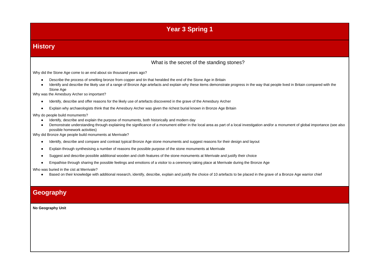## **Year 3 Spring 1**

### **History**

### What is the secret of the standing stones?

Why did the Stone Age come to an end about six thousand years ago?

- Describe the process of smelting bronze from copper and tin that heralded the end of the Stone Age in Britain
- Identify and describe the likely use of a range of Bronze Age artefacts and explain why these items demonstrate progress in the way that people lived in Britain compared with the Stone Age

Why was the Amesbury Archer so important?

- Identify, describe and offer reasons for the likely use of artefacts discovered in the grave of the Amesbury Archer
- Explain why archaeologists think that the Amesbury Archer was given the richest burial known in Bronze Age Britain

Why do people build monuments?

- Identify, describe and explain the purpose of monuments, both historically and modern day
- Demonstrate understanding through explaining the significance of a monument either in the local area as part of a local investigation and/or a monument of global importance (see also possible homework activities)

Why did Bronze Age people build monuments at Merrivale?

- Identify, describe and compare and contrast typical Bronze Age stone monuments and suggest reasons for their design and layout
- Explain through synthesising a number of reasons the possible purpose of the stone monuments at Merrivale
- Suggest and describe possible additional wooden and cloth features of the stone monuments at Merrivale and justify their choice
- Empathise through sharing the possible feelings and emotions of a visitor to a ceremony taking place at Merrivale during the Bronze Age

Who was buried in the cist at Merrivale?

● Based on their knowledge with additional research, identify, describe, explain and justify the choice of 10 artefacts to be placed in the grave of a Bronze Age warrior chief

### **Geography**

**No Geography Unit**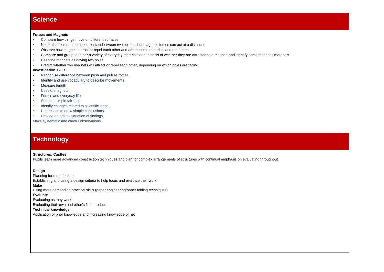### **Science**

#### **Forces and Magnets**

- Compare how things move on different surfaces
- Notice that some forces need contact between two objects, but magnetic forces can act at a distance
- Observe how magnets attract or repel each other and attract some materials and not others
- Compare and group together a variety of everyday materials on the basis of whether they are attracted to a magnet, and identify some magnetic materials
- Describe magnets as having two poles
- Predict whether two magnets will attract or repel each other, depending on which poles are facing.

#### **Investigation skills.**

- Recognise difference between push and pull as forces.
- Identify and use vocabulary to describe movements
- **Measure length**
- **Uses of magnets**
- Forces and everyday life.
- Set up a simple fair-test.
- Identify changes related to scientific ideas.
- Use results to draw simple conclusions.
- Provide an oral explanation of findings.

Make systematic and careful observations

### **Technology**

#### **Structures: Castles**

Pupils learn more advanced construction techniques and plan for complex arrangements of structures with continual emphasis on evaluating throughout.

#### **Design**

Planning for manufacture.

Establishing and using a design criteria to help focus and evaluate their work.

#### **Make**

Using more demanding practical skills (paper engineering/paper folding techniques).

#### **Evaluate**

Evaluating as they work.

Evaluating their own and other's final product.

#### **Technical knowledge**

Application of prior knowledge and increasing knowledge of net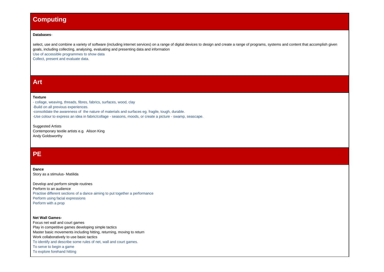### **Computing**

#### **[Databases](https://docs.google.com/a/ntlp.org.uk/document/d/1HPbjK2kVddIkfLbMP2yGMu1-0V7r4rgd4BwJ_RZCibg/edit)**-

select, use and combine a variety of software (including internet services) on a range of digital devices to design and create a range of programs, systems and content that accomplish given goals, including collecting, analysing, evaluating and presenting data and information Use of accessible programmes to show data

Collect, present and evaluate data.

### **Art**

#### **Texture**

- collage, weaving, threads, fibres, fabrics, surfaces, wood, clay -Build on all previous experiences. -consolidate the awareness of the nature of materials and surfaces eg. fragile, tough, durable. -Use colour to express an idea in fabric/collage - seasons, moods, or create a picture - swamp, seascape.

Suggested Artists Contemporary textile artists e.g. Alison King Andy Goldsworthy

### **PE**

#### **Dance**

Story as a stimulus- Matilida

Develop and perform simple routines Perform to an audience Practise different sections of a dance aiming to put together a performance Perform using facial expressions Perform with a prop

#### **Net Wall Games-**

Focus net wall and court games Play in competitive games developing simple tactics Master basic movements including hitting, returning, moving to return Work collaboratively to use basic tactics To identify and describe some rules of net, wall and court games. To serve to begin a game To explore forehand hitting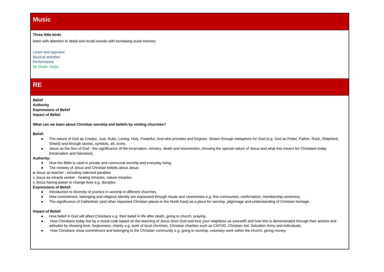### **Music**

#### **Three little birds**

listen with attention to detail and recall sounds with increasing aural memory

Listen and appraise Musical activities **Performance** Mr Slade- Violin

### **RE**

**Belief Authority Expressions of Belief Impact of Belief.**

**What can we learn about Christian worship and beliefs by visiting churches?**

**Belief:**

- The nature of God as Creator, Just, Ruler, Loving, Holy, Powerful, God who provides and forgives. Shown through metaphors for God (e.g. God as Potter, Father, Rock, Shepherd, Shield) and through stories, symbols, art, icons.
- Jesus as the Son of God the significance of the incarnation, ministry, death and resurrection, showing the special nature of Jesus and what this means for Christians today [Incarnation and Salvation].

**Authority:**

- How the Bible is used in private and communal worship and everyday living.
- The ministry of Jesus and Christian beliefs about Jesus:

**o** Jesus as teacher - including selected parables

o Jesus as miracle worker - healing miracles, nature miracles

o Jesus having power to change lives e.g. disciples

#### **Expressions of Belief:**

- Introduction to diversity of practice in worship in different churches.
- How commitment, belonging and religious identity are expressed through rituals and ceremonies e.g. first communion, confirmation, membership ceremony.
- The significance of Cathedrals (and other important Christian places in the North East) as a place for worship, pilgrimage and understanding of Christian heritage.

#### **Impact of Belief:**

- How belief in God will affect Christians e.g. their belief in life after death, going to church, praying.
- How Christians today live by a moral code based on the teaching of Jesus (love God and love your neighbour as yourself) and how this is demonstrated through their actions and attitudes by showing love, forgiveness, charity e.g. work of local churches, Christian charities such as CAFOD, Christian Aid, Salvation Army and individuals.
- How Christians show commitment and belonging to the Christian community e.g. going to worship, voluntary work within the church, giving money.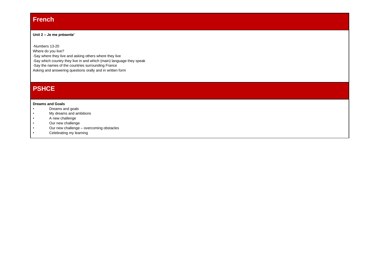### **French**

#### **Unit 2 – Je me présente'**

-Numbers 13-20 Where do you live? -Say where they live and asking others where they live -Say which country they live in and which (main) language they speak -Say the names of the countries surrounding France Asking and answering questions orally and in written form

### **PSHCE**

#### **Dreams and Goals**

- Dreams and goals
- My dreams and ambitions
- A new challenge
- Our new challenge
- Our new challenge overcoming obstacles
- Celebrating my learning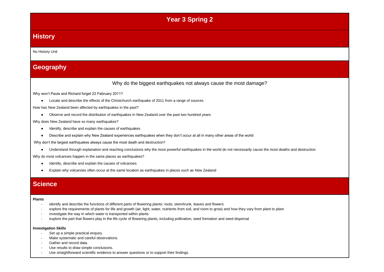### **Year 3 Spring 2**

### **History**

#### No History Unit

### **Geography**

### Why do the biggest earthquakes not always cause the most damage?

Why won't Paula and Richard forget 22 February 2011?

● Locate and describe the effects of the Christchurch earthquake of 2011 from a range of sources

How has New Zealand been affected by earthquakes in the past?

● Observe and record the distribution of earthquakes in New Zealand over the past two hundred years

Why does New Zealand have so many earthquakes?

- Identify, describe and explain the causes of earthquakes
- Describe and explain why New Zealand experiences earthquakes when they don't occur at all in many other areas of the world

Why don't the largest earthquakes always cause the most death and destruction?

● Understand through explanation and reaching conclusions why the most powerful earthquakes in the world do not necessarily cause the most deaths and destruction

Why do most volcanoes happen in the same places as earthquakes?

- Identify, describe and explain the causes of volcanoes
- Explain why volcanoes often occur at the same location as earthquakes in places such as New Zealand

### **Science**

#### **Plants**

- identify and describe the functions of different parts of flowering plants: roots, stem/trunk, leaves and flowers
- explore the requirements of plants for life and growth (air, light, water, nutrients from soil, and room to grow) and how they vary from plant to plant
- investigate the way in which water is transported within plants
- explore the part that flowers play in the life cycle of flowering plants, including pollination, seed formation and seed dispersal

#### **Investigation Skills**

- Set up a simple practical enquiry.
- Make systematic and careful observations.
- Gather and record data.
- Use results to draw simple conclusions.
- Use straightforward scientific evidence to answer questions or to support their findings.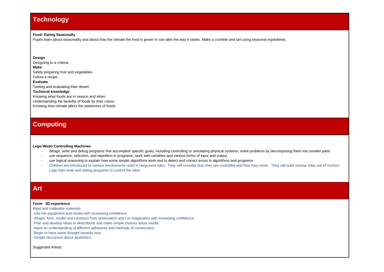### **Technology**

#### **Food: Eating Seasonally**

Pupils learn about seasonality and about how the climate the food is grown in can alter the way it tastes. Make a crumble and tart using seasonal ingredients.

#### **Design**

Designing to a criteria.

#### **Make**

Safely preparing fruit and vegetables. Follow a recipe.

#### **Evaluate**

Tasting and evaluating their desert.

#### **Technical knowledge**

Knowing what foods are in season and when. Understanding the benefits of foods by their colour.

Knowing how climate alters the sweetness of foods.

### **Computing**

#### **Lego-Wedo Controlling Machines**

- design, write and debug programs that accomplish specific goals, including controlling or simulating physical systems; solve problems by decomposing them into smaller parts
- use sequence, selection, and repetition in programs; work with variables and various forms of input and output
- use logical reasoning to explain how some simple algorithms work and to detect and correct errors in algorithms and programs
- Children are introduced to various mechanisms used in fairground rides. They will consider how they are controlled and how they move. They will build various rides out of Technic Lego then write and debug programs to control the rides.

### **Art**

#### **Form- 3D experience**

Rigid and malleable materials

-Use the equipment and media with increasing confidence.

-Shape, form, model and construct from observation and / or imagination with increasing confidence.

-Plan and develop ideas in sketchbook and make simple choices about media.

-Have an understanding of different adhesives and methods of construction

-Begin to have some thought towards size

-Simple discussion about aesthetics

Suggested Artists: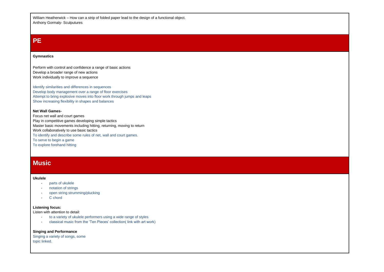William Heatherwick – How can a strip of folded paper lead to the design of a functional object. Anthony Gormaly- Sculputures

### **PE**

#### **Gymnastics**

Perform with control and confidence a range of basic actions Develop a broader range of new actions Work individually to improve a sequence

Identify similarities and differences in sequences Develop body management over a range of floor exercises Attempt to bring explosive moves into floor work through jumps and leaps Show increasing flexibility in shapes and balances

#### **Net Wall Games-**

Focus net wall and court games Play in competitive games developing simple tactics Master basic movements including hitting, returning, moving to return Work collaboratively to use basic tactics To identify and describe some rules of net, wall and court games. To serve to begin a game To explore forehand hitting

### **Music**

#### **Ukulele**

- parts of ukulele
- notation of strings
- open string strumming/plucking
- C chord

#### **Listening focus:**

Listen with attention to detail:

- to a variety of ukulele performers using a wide range of styles
- classical music from the 'Ten Pieces' collection( link with art work)

#### **Singing and Performance**

Singing a variety of songs, some topic linked.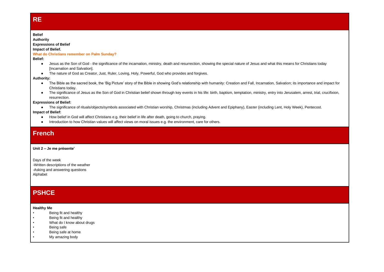### **RE**

#### **Belief**

**Authority**

### **Expressions of Belief**

#### **Impact of Belief.**

**What do Christians remember on Palm Sunday?**

#### **Belief:**

- Jesus as the Son of God the significance of the incarnation, ministry, death and resurrection, showing the special nature of Jesus and what this means for Christians today [Incarnation and Salvation].
- The nature of God as Creator, Just, Ruler, Loving, Holy, Powerful, God who provides and forgives.

#### **Authority:**

- The Bible as the sacred book, the 'Big Picture' story of the Bible in showing God's relationship with humanity: Creation and Fall, Incarnation, Salvation; its importance and impact for Christians today.
- The significance of Jesus as the Son of God in Christian belief shown through key events in his life: birth, baptism, temptation, ministry, entry into Jerusalem, arrest, trial, crucifixion, resurrection.

#### **Expressions of Belief:**

● The significance of rituals/objects/symbols associated with Christian worship, Christmas (including Advent and Epiphany), Easter (including Lent, Holy Week), Pentecost.

#### **Impact of Belief:**

- How belief in God will affect Christians e.g. their belief in life after death, going to church, praying.
- Introduction to how Christian values will affect views on moral issues e.g. the environment, care for others.

### **French**

#### **Unit 2 – Je me présente'**

Days of the week -Written descriptions of the weather -Asking and answering questions Alphabet

### **PSHCE**

#### **Healthy Me**

- Being fit and healthy
- Being fit and healthy
- What do I know about drugs
- Being safe
- Being safe at home
- My amazing body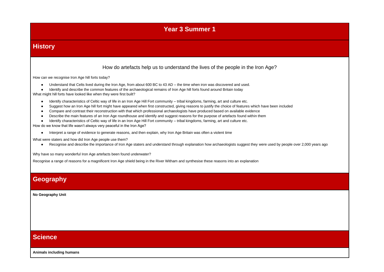### **Year 3 Summer 1**

### **History**

### How do artefacts help us to understand the lives of the people in the Iron Age?

How can we recognise Iron Age hill forts today?

- Understand that Celts lived during the Iron Age, from about 600 BC to 43 AD the time when iron was discovered and used.
- Identify and describe the common features of the archaeological remains of Iron Age hill forts found around Britain today

What might hill forts have looked like when they were first built?

- Identify characteristics of Celtic way of life in an Iron Age Hill Fort community tribal kingdoms, farming, art and culture etc.
- Suggest how an Iron Age hill fort might have appeared when first constructed, giving reasons to justify the choice of features which have been included
- Compare and contrast their reconstruction with that which professional archaeologists have produced based on available evidence
- Describe the main features of an Iron Age roundhouse and identify and suggest reasons for the purpose of artefacts found within them
- Identify characteristics of Celtic way of life in an Iron Age Hill Fort community tribal kingdoms, farming, art and culture etc.

How do we know that life wasn't always very peaceful in the Iron Age?

● Interpret a range of evidence to generate reasons, and then explain, why Iron Age Britain was often a violent time

What were staters and how did Iron Age people use them?

● Recognise and describe the importance of Iron Age staters and understand through explanation how archaeologists suggest they were used by people over 2,000 years ago

Why have so many wonderful Iron Age artefacts been found underwater?

Recognise a range of reasons for a magnificent Iron Age shield being in the River Witham and synthesise these reasons into an explanation

### **Geography**

**No Geography Unit**

### **Science**

**Animals including humans**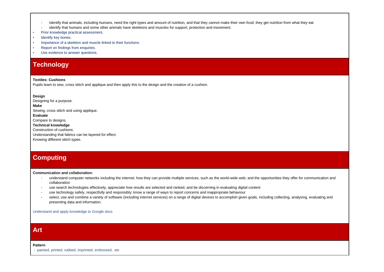- Identify that animals, including humans, need the right types and amount of nutrition, and that they cannot make their own food; they get nutrition from what they eat
- identify that humans and some other animals have skeletons and muscles for support, protection and movement.
- Prior knowledge practical assessment.
- Identify key bones.
- Importance of a skeleton and muscle linked to their functions.
- Report on findings from enquiries.
- Use evidence to answer questions.

### **Technology**

#### **Textiles: Cushions**

Pupils learn to sew, cross stitch and applique and then apply this to the design and the creation of a cushion.

**Design** Designing for a purpose. **Make** Sewing, cross stitch and using applique. **Evaluate** Compare to designs. **Technical knowledge** Construction of cushions. Understanding that fabrics can be layered for effect. Knowing different stitch types.

### **Computing**

**Communication and collaboration-**

- understand computer networks including the internet; how they can provide multiple services, such as the world-wide web; and the opportunities they offer for communication and collaboration
- use search technologies effectively, appreciate how results are selected and ranked, and be discerning in evaluating digital content
- use technology safely, respectfully and responsibly; know a range of ways to report concerns and inappropriate behaviour
- select, use and combine a variety of software (including internet services) on a range of digital devices to accomplish given goals, including collecting, analysing, evaluating and presenting data and information.

Understand and apply knowledge to Google docs

### **Art**

**Pattern**

- painted, printed, rubbed, imprinted, embossed, etc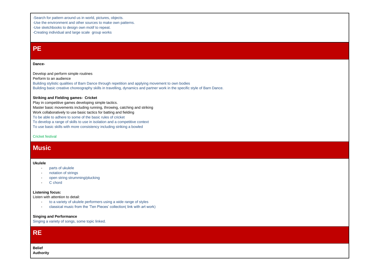-Search for pattern around us in world, pictures, objects.

-Use the environment and other sources to make own patterns.

-Use sketchbooks to design own motif to repeat.

-Creating individual and large scale group works

### **PE**

#### **Dance-**

Develop and perform simple routines Perform to an audience Building stylistic qualities of Barn Dance through repetition and applying movement to own bodies Building basic creative choreography skills in travelling, dynamics and partner work in the specific style of Barn Dance.

#### **Striking and Fielding games- Cricket**

Play in competitive games developing simple tactics. Master basic movements including running, throwing, catching and striking Work collaboratively to use basic tactics for batting and fielding

To be able to adhere to some of the basic rules of cricket

To develop a range of skills to use in isolation and a competitive context

To use basic skills with more consistency including striking a bowled

Cricket festival

### **Music**

#### **Ukulele**

- parts of ukulele
- notation of strings
- open string strumming/plucking
- C chord

#### **Listening focus:**

Listen with attention to detail:

- to a variety of ukulele performers using a wide range of styles
- classical music from the 'Ten Pieces' collection( link with art work)

#### **Singing and Performance**

Singing a variety of songs, some topic linked.

**Belief Authority**

**RE**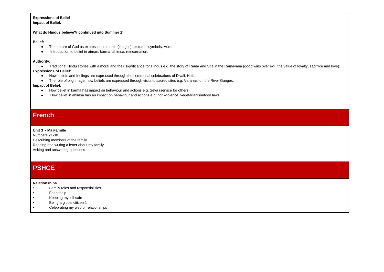### **Expressions of Belief**

**Impact of Belief.**

**What do Hindus believe?( continued into Summer 2).**

#### **Belief:**

- The nature of God as expressed in murtis (images), pictures, symbols, Aum.
- Introduction to belief in atman, karma, ahimsa, reincarnation.

#### **Authority:**

● Traditional Hindu stories with a moral and their significance for Hindus e.g. the story of Rama and Sita in the Ramayana (good wins over evil, the value of loyalty, sacrifice and love).

#### **Expressions of Belief:**

- How beliefs and feelings are expressed through the communal celebrations of Divali, Holi.
- The role of pilgrimage, how beliefs are expressed through visits to sacred sites e.g. Varanasi on the River Ganges.

#### **Impact of Belief:**

- How belief in karma has impact on behaviour and actions e.g. Seva (service for others).
- How belief in ahimsa has an impact on behaviour and actions e.g. non-violence, vegetarianism/food laws.

### **French**

#### **Unit 3 - Ma Famille**

Numbers 21-30 Describing members of the family Reading and writing a letter about my family Asking and answering questions

### **PSHCE**

#### **Relationships**

- Family roles and responsibilities
- **Friendship**
- Keeping myself safe
- Being a global citizen 1
- Celebrating my web of relationships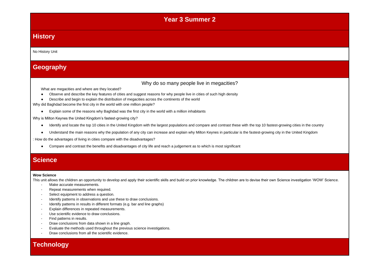### **Year 3 Summer 2**

### **History**

No History Unit

### **Geography**

Why do so many people live in megacities?

What are megacities and where are they located?

- Observe and describe the key features of cities and suggest reasons for why people live in cities of such high density
- Describe and begin to explain the distribution of megacities across the continents of the world

Why did Baghdad become the first city in the world with one million people?

● Explain some of the reasons why Baghdad was the first city in the world with a million inhabitants

Why is Milton Keynes the United Kingdom's fastest-growing city?

- Identify and locate the top 10 cities in the United Kingdom with the largest populations and compare and contrast these with the top 10 fastest-growing cities in the country
- Understand the main reasons why the population of any city can increase and explain why Milton Keynes in particular is the fastest-growing city in the United Kingdom

: How do the advantages of living in cities compare with the disadvantages?

● Compare and contrast the benefits and disadvantages of city life and reach a judgement as to which is most significant

### **Science**

#### **Wow Science**

This unit allows the children an opportunity to develop and apply their scientific skills and build on prior knowledge. The children are to devise their own Science investigation 'WOW' Science.

- Make accurate measurements.
- Repeat measurements when required.
- Select equipment to address a question.
- Identify patterns in observations and use these to draw conclusions.
- Identify patterns in results in different formats (e.g. bar and line graphs)
- Explain differences in repeated measurements.
- Use scientific evidence to draw conclusions.
- Find patterns in results.
- Draw conclusions from data shown in a line graph.
- Evaluate the methods used throughout the previous science investigations.
- Draw conclusions from all the scientific evidence.

### **Technology**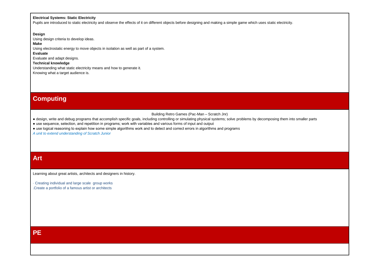#### **Electrical Systems: Static Electricity**

Pupils are introduced to static electricity and observe the effects of it on different objects before designing and making a simple game which uses static electricity.

**Design** Using design criteria to develop ideas. **Make** Using electrostatic energy to move objects in isolation as well as part of a system. **Evaluate** Evaluate and adapt designs. **Technical knowledge** Understanding what static electricity means and how to generate it. Knowing what a target audience is.

### **Computing**

#### Building Retro Games (Pac-Man – Scratch Jnr)

● design, write and debug programs that accomplish specific goals, including controlling or simulating physical systems; solve problems by decomposing them into smaller parts

● use sequence, selection, and repetition in programs; work with variables and various forms of input and output

● use logical reasoning to explain how some simple algorithms work and to detect and correct errors in algorithms and programs

*A unit to extend understanding of Scratch Junior*

### **Art**

Learning about great artists, architects and designers in history.

· Creating individual and large scale group works .Create a portfolio of a famous artist or architects

**PE**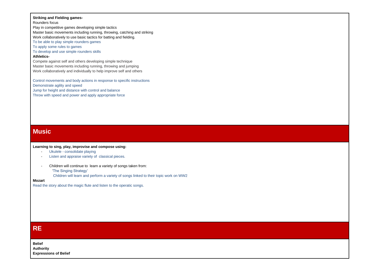#### **Striking and Fielding games-**

Rounders focus

Play in competitive games developing simple tactics Master basic movements including running, throwing, catching and striking Work collaboratively to use basic tactics for batting and fielding. To be able to play simple rounders games

To apply some rules to games

To develop and use simple rounders skills

#### **Athletics-**

Compete against self and others developing simple technique Master basic movements including running, throwing and jumping Work collaboratively and individually to help improve self and others

Control movements and body actions in response to specific instructions Demonstrate agility and speed Jump for height and distance with control and balance Throw with speed and power and apply appropriate force

### **Music**

#### **Learning to sing, play, improvise and compose using:**

- Ukulele consolidate playing
- Listen and appraise variety of classical pieces.
- Children will continue to learn a variety of songs taken from: 'The Singing Strategy'
	- Children will learn and perform a variety of songs linked to their topic work on WW2

#### **Mozart**

Read the story about the magic flute and listen to the operatic songs.

### **RE**

**Belief Authority Expressions of Belief**